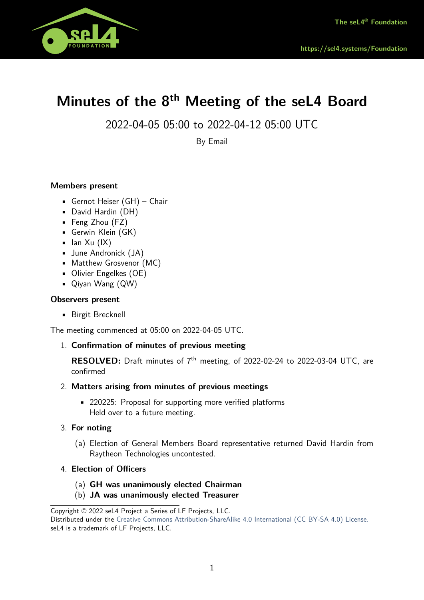

# **Minutes of the 8th Meeting of the seL4 Board**

2022-04-05 05:00 to 2022-04-12 05:00 UTC

By Email

# **Members present**

- Gernot Heiser (GH) Chair
- David Hardin (DH)
- Feng Zhou (FZ)
- Gerwin Klein (GK)
- $\blacksquare$  Ian Xu (IX)
- June Andronick (JA)
- Matthew Grosvenor (MC)
- Olivier Engelkes (OE)
- Qiyan Wang (QW)

## **Observers present**

• Birgit Brecknell

The meeting commenced at 05:00 on 2022-04-05 UTC.

# 1. **Confirmation of minutes of previous meeting**

**RESOLVED:** Draft minutes of 7<sup>th</sup> meeting, of 2022-02-24 to 2022-03-04 UTC, are confirmed

## 2. **Matters arising from minutes of previous meetings**

• 220225: Proposal for supporting more verified platforms Held over to a future meeting.

# 3. **For noting**

- (a) Election of General Members Board representative returned David Hardin from Raytheon Technologies uncontested.
- 4. **Election of Officers**
	- (a) **GH was unanimously elected Chairman**
	- (b) **JA was unanimously elected Treasurer**

Copyright © 2022 seL4 Project a Series of LF Projects, LLC.

Distributed under the [Creative Commons Attribution-ShareAlike 4.0 International \(CC BY-SA 4.0\) License.](https://creativecommons.org/licenses/by-sa/4.0/legalcode) seL4 is a trademark of LF Projects, LLC.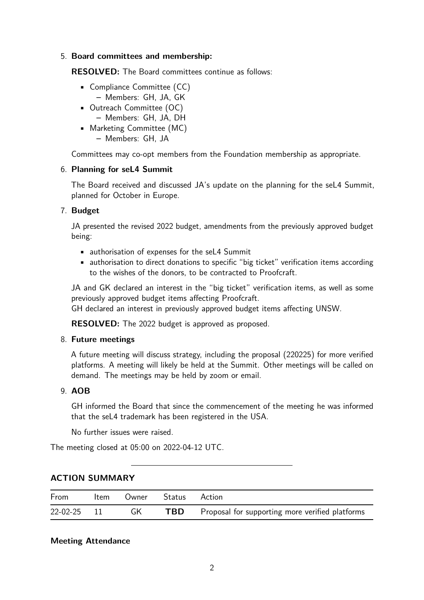## 5. **Board committees and membership:**

**RESOLVED:** The Board committees continue as follows:

- Compliance Committee (CC)
	- **–** Members: GH, JA, GK
- Outreach Committee (OC)
	- **–** Members: GH, JA, DH
- Marketing Committee (MC)
	- **–** Members: GH, JA

Committees may co-opt members from the Foundation membership as appropriate.

## 6. **Planning for seL4 Summit**

The Board received and discussed JA's update on the planning for the seL4 Summit, planned for October in Europe.

# 7. **Budget**

JA presented the revised 2022 budget, amendments from the previously approved budget being:

- authorisation of expenses for the seL4 Summit
- authorisation to direct donations to specific "big ticket" verification items according to the wishes of the donors, to be contracted to Proofcraft.

JA and GK declared an interest in the "big ticket" verification items, as well as some previously approved budget items affecting Proofcraft.

GH declared an interest in previously approved budget items affecting UNSW.

**RESOLVED:** The 2022 budget is approved as proposed.

# 8. **Future meetings**

A future meeting will discuss strategy, including the proposal (220225) for more verified platforms. A meeting will likely be held at the Summit. Other meetings will be called on demand. The meetings may be held by zoom or email.

# 9. **AOB**

GH informed the Board that since the commencement of the meeting he was informed that the seL4 trademark has been registered in the USA.

No further issues were raised.

The meeting closed at 05:00 on 2022-04-12 UTC.

| From        | Item |    | Owner Status | Action                                          |
|-------------|------|----|--------------|-------------------------------------------------|
| 22-02-25 11 |      | GK | <b>TBD</b>   | Proposal for supporting more verified platforms |

# **ACTION SUMMARY**

## **Meeting Attendance**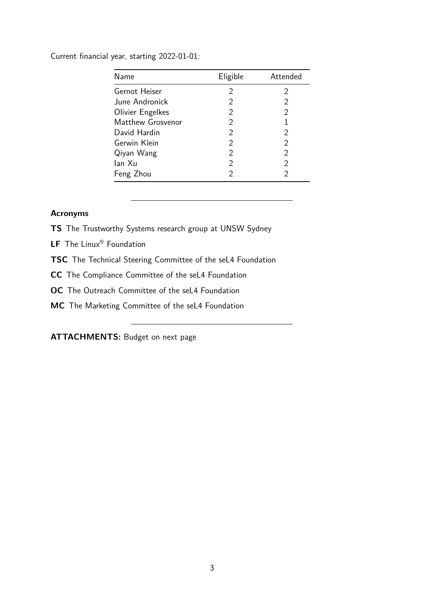Current financial year, starting 2022-01-01:

| Name              | Eligible       | Attended      |
|-------------------|----------------|---------------|
| Gernot Heiser     | 2              | 2             |
| June Andronick    | 2              | 2             |
| Olivier Engelkes  | 2              | 2             |
| Matthew Grosvenor | 2              | 1             |
| David Hardin      | $\overline{2}$ | 2             |
| Gerwin Klein      | 2              | 2             |
| Qiyan Wang        | 2              | $\mathcal{P}$ |
| lan Xu            | 2              | 2             |
| Feng Zhou         | 2              | 2             |

## **Acronyms**

**TS** The Trustworthy Systems research group at UNSW Sydney

**LF** The Linux® Foundation

**TSC** The Technical Steering Committee of the seL4 Foundation

**CC** The Compliance Committee of the seL4 Foundation

**OC** The Outreach Committee of the seL4 Foundation

**MC** The Marketing Committee of the seL4 Foundation

**ATTACHMENTS:** Budget on next page